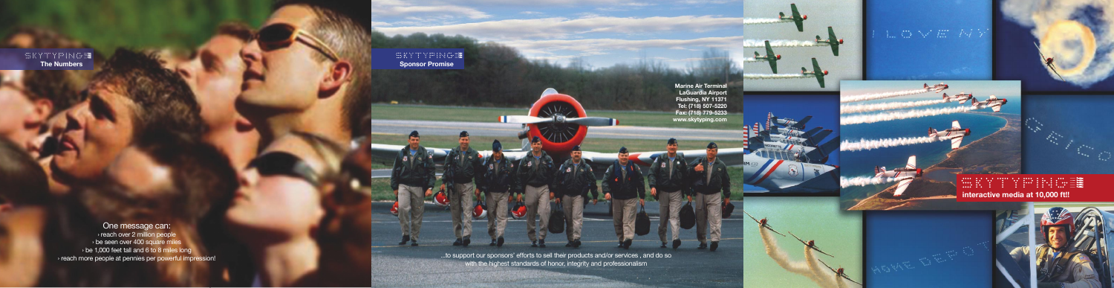## **第五十二十五十二十二章 interactive media at 10,000 ft!!**





**SKYTYPINGE The Numbers**

> ...to support our sponsors' efforts to sell their products and/or services , and do so with the highest standards of honor, integrity and professionalism



L G V E F4 F

One message can: › reach over 2 million people › be seen over 400 square miles › be 1,000 feet tall and 6 to 8 miles long › reach more people at pennies per powerful impression!

**Marine Air Terminal LaGuardia Airport Flushing, NY 11371 Tel: (718) 507-5220 Fax: (718) 779-5233 www.skytyping.com** *<u><i><u><b>Discussions Companies and Companies Age</u>*</u>

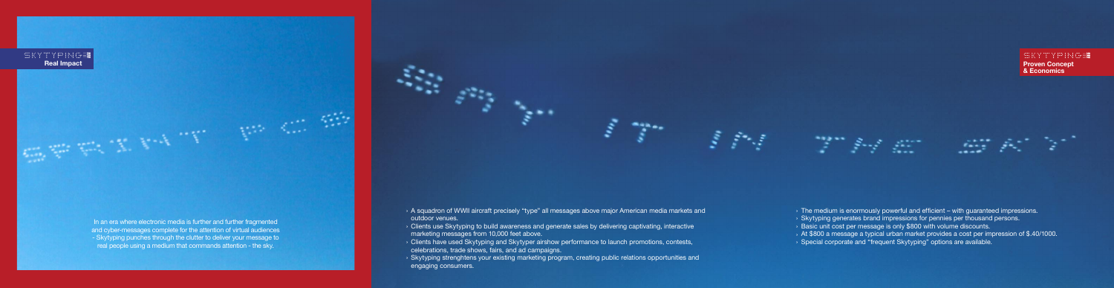

and cyber-messages complete for the attention of virtual audiences - Skytyping punches through the clutter to deliver your message to real people using a medium that commands attention - the sky.

- 
- 
- 
- 
- 

A squadron of WWII aircraft precisely "type" all messages above major American media markets and › outdoor venues.

**Skytyping strenghtens your existing marketing program, creating public relations opportunities and >>>>>** engaging consumers.

a sa tinggan sa sa tagawan sa sa tagawan sa tagawan sa tagawan sa tagawan sa tagawan sa tagawan sa tagawan sa <br>Tagawan sa tagawan sa tagawan sa tagawan sa tagawan sa tagawan sa tagawan sa tagawan sa tagawan sa tagawan sa

المستعمر المستعمر التي تحت المستعمر المستعمر التي تحت المستعمر المستعمر المستعمر المستعمر المستعمر المستعمر ال<br>المستعمر المستعمر المستعمر المستعمر المستعمر المستعمر المستعمر المستعمر المستعمر المستعمر المستعمر المستعمر ال

- 
- 
- 
- 

## **WKYTYPINGE Proven Concept & Economics**

The medium is enormously powerful and efficient – with guaranteed impressions. › **Skytyping generates brand impressions for pennies per thousand persons. Basic unit cost per message is only \$800 with volume discounts.** At \$800 a message a typical urban market provides a cost per impression of \$.40/1000. ›  $\rightarrow$  Special corporate and "frequent Skytyping" options are available.

25 A

Clients use Skytyping to build awareness and generate sales by delivering captivating, interactive › marketing messages from 10,000 feet above.

Clients have used Skytyping and Skytyper airshow performance to launch promotions, contests, › celebrations, trade shows, fairs, and ad campaigns.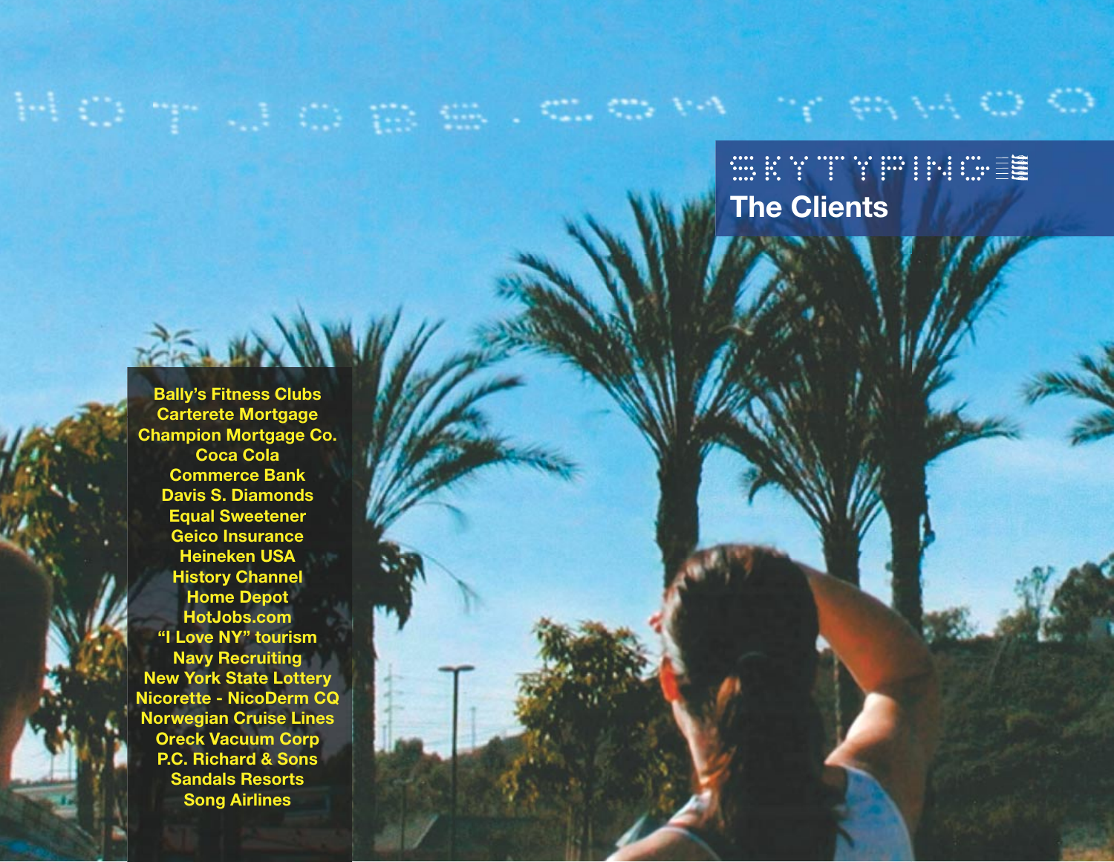## WEYTYPHATE **The Clients**

. com valor e avec o O

**Bally's Fitness Clubs Carterete Mortgage Champion Mortgage Co. Coca Cola Commerce Bank Davis S. Diamonds Equal Sweetener Geico Insurance Heineken USA History Channel Home Depot HotJobs.com "I Love NY" tourism Navy Recruiting New York State Lottery Nicorette - NicoDerm CQ Norwegian Cruise Lines Oreck Vacuum Corp P.C. Richard & Sons Sandals Resorts Song Airlines**

TELAN

HOT US OBS